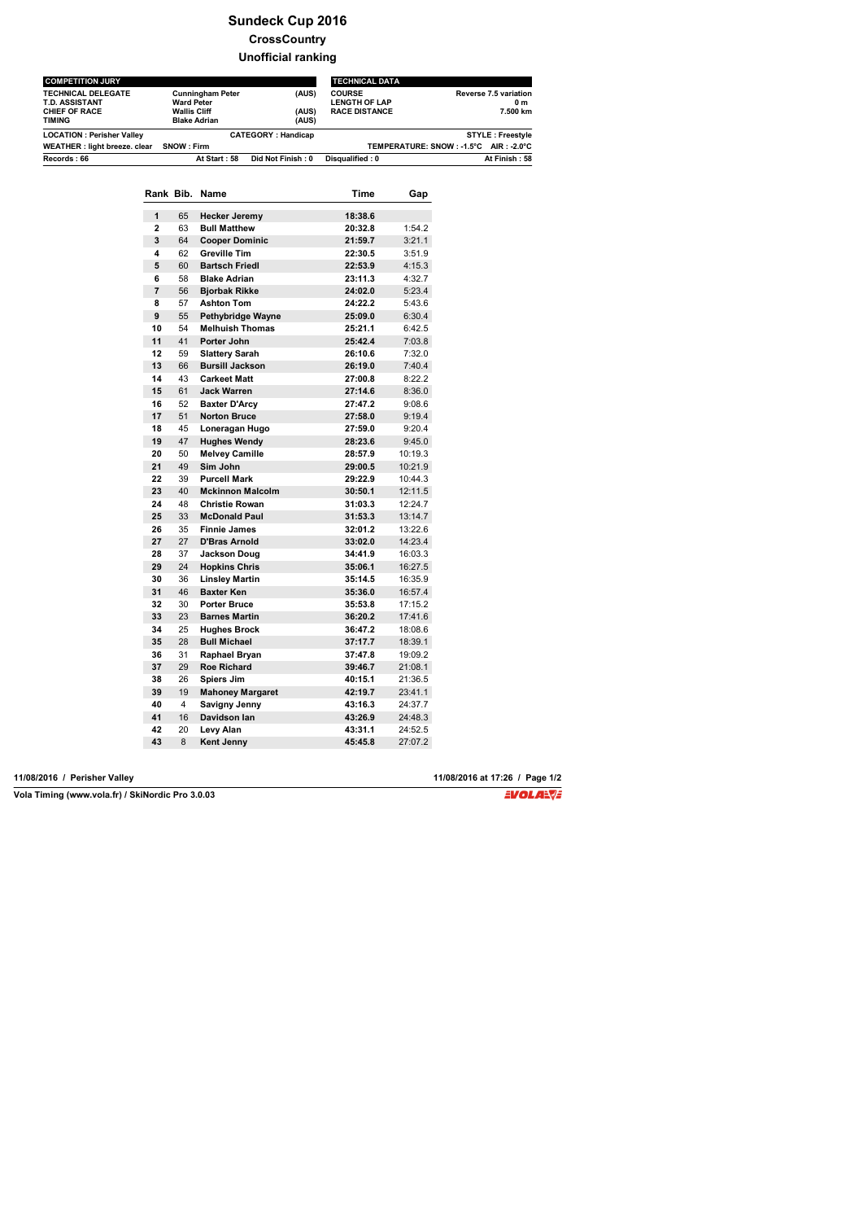# **Sundeck Cup 2016 CrossCountry**

### **Unofficial ranking**

| <b>COMPETITION JURY</b>                                                       |                                                                                            | <b>TECHNICAL DATA</b>     |                                                               |                                          |  |
|-------------------------------------------------------------------------------|--------------------------------------------------------------------------------------------|---------------------------|---------------------------------------------------------------|------------------------------------------|--|
| <b>TECHNICAL DELEGATE</b><br>T.D. ASSISTANT<br><b>CHIEF OF RACE</b><br>TIMING | <b>Cunningham Peter</b><br><b>Ward Peter</b><br><b>Wallis Cliff</b><br><b>Blake Adrian</b> | (AUS)<br>(AUS)<br>(AUS)   | <b>COURSE</b><br><b>LENGTH OF LAP</b><br><b>RACE DISTANCE</b> | Reverse 7.5 variation<br>0 m<br>7.500 km |  |
| <b>LOCATION: Perisher Valley</b>                                              |                                                                                            | <b>CATEGORY: Handicap</b> | <b>STYLE: Freestyle</b>                                       |                                          |  |
| WEATHER : light breeze. clear                                                 | SNOW : Firm                                                                                |                           |                                                               | TEMPERATURE: SNOW: -1.5°C AIR: -2.0°C    |  |
| Records: 66                                                                   | At Start: 58                                                                               | Did Not Finish: 0         | Disqualified: 0                                               | At Finish: 58                            |  |

| 1<br>65<br>18:38.6<br><b>Hecker Jeremy</b><br>63<br>$\mathbf{2}$<br><b>Bull Matthew</b><br>20:32.8<br>3<br>64<br><b>Cooper Dominic</b><br>21:59.7<br>4<br>62<br><b>Greville Tim</b><br>22:30.5<br>5<br>60<br><b>Bartsch Friedl</b><br>22:53.9<br>6<br>58<br><b>Blake Adrian</b><br>4:32.7<br>23:11.3<br>$\overline{7}$<br>56<br><b>Biorbak Rikke</b><br>24:02.0<br>8<br>57<br><b>Ashton Tom</b><br>24:22.2<br>5:43.6<br>9<br>55<br>Pethybridge Wayne<br>25:09.0<br>54<br><b>Melhuish Thomas</b><br>25:21.1<br>41<br>Porter John<br>25:42.4<br>59<br><b>Slattery Sarah</b><br>26:10.6<br><b>Bursill Jackson</b><br>7:40.4<br>66<br>26:19.0<br>43<br><b>Carkeet Matt</b><br>27:00.8<br>61<br><b>Jack Warren</b><br>27:14.6<br>52<br>27:47.2<br><b>Baxter D'Arcy</b><br>51<br><b>Norton Bruce</b><br>27:58.0<br>45<br>Loneragan Hugo<br>27:59.0<br>47<br><b>Hughes Wendy</b><br>28:23.6<br>50<br><b>Melvey Camille</b><br>28:57.9<br>49<br>Sim John<br>29:00.5<br>39<br><b>Purcell Mark</b><br>29:22.9<br>40<br><b>Mckinnon Malcolm</b><br>30:50.1<br>48<br><b>Christie Rowan</b><br>31:03.3<br>33<br><b>McDonald Paul</b><br>31:53.3<br>35<br><b>Finnie James</b><br>32:01.2<br>27<br><b>D'Bras Arnold</b><br>33:02.0<br>37<br><b>Jackson Doug</b><br>34:41.9<br>24<br><b>Hopkins Chris</b><br>35:06.1<br>36<br><b>Linsley Martin</b><br>35:14.5<br>46<br><b>Baxter Ken</b><br>35:36.0<br>30<br><b>Porter Bruce</b><br>35:53.8<br>23<br><b>Barnes Martin</b><br>36:20.2<br>25<br>36:47.2<br><b>Hughes Brock</b><br>28<br><b>Bull Michael</b><br>37:17.7<br>31<br>Raphael Bryan<br>37:47.8<br>29<br><b>Roe Richard</b><br>39:46.7<br>26<br>Spiers Jim<br>40:15.1<br>19<br>42:19.7<br><b>Mahoney Margaret</b><br>4<br>Savigny Jenny<br>43:16.3<br>16<br>Davidson lan<br>43:26.9<br>20<br>43:31.1<br>Levy Alan<br>8<br><b>Kent Jenny</b><br>45:45.8 | Rank Bib. | Name | Time | Gap     |
|------------------------------------------------------------------------------------------------------------------------------------------------------------------------------------------------------------------------------------------------------------------------------------------------------------------------------------------------------------------------------------------------------------------------------------------------------------------------------------------------------------------------------------------------------------------------------------------------------------------------------------------------------------------------------------------------------------------------------------------------------------------------------------------------------------------------------------------------------------------------------------------------------------------------------------------------------------------------------------------------------------------------------------------------------------------------------------------------------------------------------------------------------------------------------------------------------------------------------------------------------------------------------------------------------------------------------------------------------------------------------------------------------------------------------------------------------------------------------------------------------------------------------------------------------------------------------------------------------------------------------------------------------------------------------------------------------------------------------------------------------------------------------------------------------------------------------------------------|-----------|------|------|---------|
|                                                                                                                                                                                                                                                                                                                                                                                                                                                                                                                                                                                                                                                                                                                                                                                                                                                                                                                                                                                                                                                                                                                                                                                                                                                                                                                                                                                                                                                                                                                                                                                                                                                                                                                                                                                                                                                |           |      |      |         |
|                                                                                                                                                                                                                                                                                                                                                                                                                                                                                                                                                                                                                                                                                                                                                                                                                                                                                                                                                                                                                                                                                                                                                                                                                                                                                                                                                                                                                                                                                                                                                                                                                                                                                                                                                                                                                                                |           |      |      | 1:54.2  |
|                                                                                                                                                                                                                                                                                                                                                                                                                                                                                                                                                                                                                                                                                                                                                                                                                                                                                                                                                                                                                                                                                                                                                                                                                                                                                                                                                                                                                                                                                                                                                                                                                                                                                                                                                                                                                                                |           |      |      | 3:21.1  |
|                                                                                                                                                                                                                                                                                                                                                                                                                                                                                                                                                                                                                                                                                                                                                                                                                                                                                                                                                                                                                                                                                                                                                                                                                                                                                                                                                                                                                                                                                                                                                                                                                                                                                                                                                                                                                                                |           |      |      | 3:51.9  |
|                                                                                                                                                                                                                                                                                                                                                                                                                                                                                                                                                                                                                                                                                                                                                                                                                                                                                                                                                                                                                                                                                                                                                                                                                                                                                                                                                                                                                                                                                                                                                                                                                                                                                                                                                                                                                                                |           |      |      | 4:15.3  |
|                                                                                                                                                                                                                                                                                                                                                                                                                                                                                                                                                                                                                                                                                                                                                                                                                                                                                                                                                                                                                                                                                                                                                                                                                                                                                                                                                                                                                                                                                                                                                                                                                                                                                                                                                                                                                                                |           |      |      |         |
|                                                                                                                                                                                                                                                                                                                                                                                                                                                                                                                                                                                                                                                                                                                                                                                                                                                                                                                                                                                                                                                                                                                                                                                                                                                                                                                                                                                                                                                                                                                                                                                                                                                                                                                                                                                                                                                |           |      |      | 5:23.4  |
|                                                                                                                                                                                                                                                                                                                                                                                                                                                                                                                                                                                                                                                                                                                                                                                                                                                                                                                                                                                                                                                                                                                                                                                                                                                                                                                                                                                                                                                                                                                                                                                                                                                                                                                                                                                                                                                |           |      |      |         |
|                                                                                                                                                                                                                                                                                                                                                                                                                                                                                                                                                                                                                                                                                                                                                                                                                                                                                                                                                                                                                                                                                                                                                                                                                                                                                                                                                                                                                                                                                                                                                                                                                                                                                                                                                                                                                                                |           |      |      | 6:30.4  |
|                                                                                                                                                                                                                                                                                                                                                                                                                                                                                                                                                                                                                                                                                                                                                                                                                                                                                                                                                                                                                                                                                                                                                                                                                                                                                                                                                                                                                                                                                                                                                                                                                                                                                                                                                                                                                                                | 10        |      |      | 6:42.5  |
|                                                                                                                                                                                                                                                                                                                                                                                                                                                                                                                                                                                                                                                                                                                                                                                                                                                                                                                                                                                                                                                                                                                                                                                                                                                                                                                                                                                                                                                                                                                                                                                                                                                                                                                                                                                                                                                | 11        |      |      | 7:03.8  |
|                                                                                                                                                                                                                                                                                                                                                                                                                                                                                                                                                                                                                                                                                                                                                                                                                                                                                                                                                                                                                                                                                                                                                                                                                                                                                                                                                                                                                                                                                                                                                                                                                                                                                                                                                                                                                                                | 12        |      |      | 7:32.0  |
|                                                                                                                                                                                                                                                                                                                                                                                                                                                                                                                                                                                                                                                                                                                                                                                                                                                                                                                                                                                                                                                                                                                                                                                                                                                                                                                                                                                                                                                                                                                                                                                                                                                                                                                                                                                                                                                | 13        |      |      |         |
|                                                                                                                                                                                                                                                                                                                                                                                                                                                                                                                                                                                                                                                                                                                                                                                                                                                                                                                                                                                                                                                                                                                                                                                                                                                                                                                                                                                                                                                                                                                                                                                                                                                                                                                                                                                                                                                | 14        |      |      | 8:22.2  |
|                                                                                                                                                                                                                                                                                                                                                                                                                                                                                                                                                                                                                                                                                                                                                                                                                                                                                                                                                                                                                                                                                                                                                                                                                                                                                                                                                                                                                                                                                                                                                                                                                                                                                                                                                                                                                                                | 15        |      |      | 8:36.0  |
|                                                                                                                                                                                                                                                                                                                                                                                                                                                                                                                                                                                                                                                                                                                                                                                                                                                                                                                                                                                                                                                                                                                                                                                                                                                                                                                                                                                                                                                                                                                                                                                                                                                                                                                                                                                                                                                | 16        |      |      | 9:08.6  |
|                                                                                                                                                                                                                                                                                                                                                                                                                                                                                                                                                                                                                                                                                                                                                                                                                                                                                                                                                                                                                                                                                                                                                                                                                                                                                                                                                                                                                                                                                                                                                                                                                                                                                                                                                                                                                                                | 17        |      |      | 9:19.4  |
|                                                                                                                                                                                                                                                                                                                                                                                                                                                                                                                                                                                                                                                                                                                                                                                                                                                                                                                                                                                                                                                                                                                                                                                                                                                                                                                                                                                                                                                                                                                                                                                                                                                                                                                                                                                                                                                | 18        |      |      | 9:20.4  |
|                                                                                                                                                                                                                                                                                                                                                                                                                                                                                                                                                                                                                                                                                                                                                                                                                                                                                                                                                                                                                                                                                                                                                                                                                                                                                                                                                                                                                                                                                                                                                                                                                                                                                                                                                                                                                                                | 19        |      |      | 9:45.0  |
|                                                                                                                                                                                                                                                                                                                                                                                                                                                                                                                                                                                                                                                                                                                                                                                                                                                                                                                                                                                                                                                                                                                                                                                                                                                                                                                                                                                                                                                                                                                                                                                                                                                                                                                                                                                                                                                | 20        |      |      | 10:19.3 |
|                                                                                                                                                                                                                                                                                                                                                                                                                                                                                                                                                                                                                                                                                                                                                                                                                                                                                                                                                                                                                                                                                                                                                                                                                                                                                                                                                                                                                                                                                                                                                                                                                                                                                                                                                                                                                                                | 21        |      |      | 10:21.9 |
|                                                                                                                                                                                                                                                                                                                                                                                                                                                                                                                                                                                                                                                                                                                                                                                                                                                                                                                                                                                                                                                                                                                                                                                                                                                                                                                                                                                                                                                                                                                                                                                                                                                                                                                                                                                                                                                | 22        |      |      | 10:44.3 |
|                                                                                                                                                                                                                                                                                                                                                                                                                                                                                                                                                                                                                                                                                                                                                                                                                                                                                                                                                                                                                                                                                                                                                                                                                                                                                                                                                                                                                                                                                                                                                                                                                                                                                                                                                                                                                                                | 23        |      |      | 12:11.5 |
|                                                                                                                                                                                                                                                                                                                                                                                                                                                                                                                                                                                                                                                                                                                                                                                                                                                                                                                                                                                                                                                                                                                                                                                                                                                                                                                                                                                                                                                                                                                                                                                                                                                                                                                                                                                                                                                | 24        |      |      | 12:24.7 |
|                                                                                                                                                                                                                                                                                                                                                                                                                                                                                                                                                                                                                                                                                                                                                                                                                                                                                                                                                                                                                                                                                                                                                                                                                                                                                                                                                                                                                                                                                                                                                                                                                                                                                                                                                                                                                                                | 25        |      |      | 13:14.7 |
|                                                                                                                                                                                                                                                                                                                                                                                                                                                                                                                                                                                                                                                                                                                                                                                                                                                                                                                                                                                                                                                                                                                                                                                                                                                                                                                                                                                                                                                                                                                                                                                                                                                                                                                                                                                                                                                | 26        |      |      | 13:22.6 |
|                                                                                                                                                                                                                                                                                                                                                                                                                                                                                                                                                                                                                                                                                                                                                                                                                                                                                                                                                                                                                                                                                                                                                                                                                                                                                                                                                                                                                                                                                                                                                                                                                                                                                                                                                                                                                                                | 27        |      |      | 14:23.4 |
|                                                                                                                                                                                                                                                                                                                                                                                                                                                                                                                                                                                                                                                                                                                                                                                                                                                                                                                                                                                                                                                                                                                                                                                                                                                                                                                                                                                                                                                                                                                                                                                                                                                                                                                                                                                                                                                | 28        |      |      | 16:03.3 |
|                                                                                                                                                                                                                                                                                                                                                                                                                                                                                                                                                                                                                                                                                                                                                                                                                                                                                                                                                                                                                                                                                                                                                                                                                                                                                                                                                                                                                                                                                                                                                                                                                                                                                                                                                                                                                                                | 29        |      |      | 16:27.5 |
|                                                                                                                                                                                                                                                                                                                                                                                                                                                                                                                                                                                                                                                                                                                                                                                                                                                                                                                                                                                                                                                                                                                                                                                                                                                                                                                                                                                                                                                                                                                                                                                                                                                                                                                                                                                                                                                | 30        |      |      | 16:35.9 |
|                                                                                                                                                                                                                                                                                                                                                                                                                                                                                                                                                                                                                                                                                                                                                                                                                                                                                                                                                                                                                                                                                                                                                                                                                                                                                                                                                                                                                                                                                                                                                                                                                                                                                                                                                                                                                                                | 31        |      |      | 16:57.4 |
|                                                                                                                                                                                                                                                                                                                                                                                                                                                                                                                                                                                                                                                                                                                                                                                                                                                                                                                                                                                                                                                                                                                                                                                                                                                                                                                                                                                                                                                                                                                                                                                                                                                                                                                                                                                                                                                | 32        |      |      | 17:15.2 |
|                                                                                                                                                                                                                                                                                                                                                                                                                                                                                                                                                                                                                                                                                                                                                                                                                                                                                                                                                                                                                                                                                                                                                                                                                                                                                                                                                                                                                                                                                                                                                                                                                                                                                                                                                                                                                                                | 33        |      |      | 17:41.6 |
|                                                                                                                                                                                                                                                                                                                                                                                                                                                                                                                                                                                                                                                                                                                                                                                                                                                                                                                                                                                                                                                                                                                                                                                                                                                                                                                                                                                                                                                                                                                                                                                                                                                                                                                                                                                                                                                | 34        |      |      | 18:08.6 |
|                                                                                                                                                                                                                                                                                                                                                                                                                                                                                                                                                                                                                                                                                                                                                                                                                                                                                                                                                                                                                                                                                                                                                                                                                                                                                                                                                                                                                                                                                                                                                                                                                                                                                                                                                                                                                                                | 35        |      |      | 18:39.1 |
|                                                                                                                                                                                                                                                                                                                                                                                                                                                                                                                                                                                                                                                                                                                                                                                                                                                                                                                                                                                                                                                                                                                                                                                                                                                                                                                                                                                                                                                                                                                                                                                                                                                                                                                                                                                                                                                | 36        |      |      | 19:09.2 |
|                                                                                                                                                                                                                                                                                                                                                                                                                                                                                                                                                                                                                                                                                                                                                                                                                                                                                                                                                                                                                                                                                                                                                                                                                                                                                                                                                                                                                                                                                                                                                                                                                                                                                                                                                                                                                                                | 37        |      |      | 21:08.1 |
|                                                                                                                                                                                                                                                                                                                                                                                                                                                                                                                                                                                                                                                                                                                                                                                                                                                                                                                                                                                                                                                                                                                                                                                                                                                                                                                                                                                                                                                                                                                                                                                                                                                                                                                                                                                                                                                | 38        |      |      | 21:36.5 |
|                                                                                                                                                                                                                                                                                                                                                                                                                                                                                                                                                                                                                                                                                                                                                                                                                                                                                                                                                                                                                                                                                                                                                                                                                                                                                                                                                                                                                                                                                                                                                                                                                                                                                                                                                                                                                                                | 39        |      |      | 23:41.1 |
|                                                                                                                                                                                                                                                                                                                                                                                                                                                                                                                                                                                                                                                                                                                                                                                                                                                                                                                                                                                                                                                                                                                                                                                                                                                                                                                                                                                                                                                                                                                                                                                                                                                                                                                                                                                                                                                | 40        |      |      | 24:37.7 |
|                                                                                                                                                                                                                                                                                                                                                                                                                                                                                                                                                                                                                                                                                                                                                                                                                                                                                                                                                                                                                                                                                                                                                                                                                                                                                                                                                                                                                                                                                                                                                                                                                                                                                                                                                                                                                                                | 41        |      |      | 24:48.3 |
|                                                                                                                                                                                                                                                                                                                                                                                                                                                                                                                                                                                                                                                                                                                                                                                                                                                                                                                                                                                                                                                                                                                                                                                                                                                                                                                                                                                                                                                                                                                                                                                                                                                                                                                                                                                                                                                | 42        |      |      | 24:52.5 |
|                                                                                                                                                                                                                                                                                                                                                                                                                                                                                                                                                                                                                                                                                                                                                                                                                                                                                                                                                                                                                                                                                                                                                                                                                                                                                                                                                                                                                                                                                                                                                                                                                                                                                                                                                                                                                                                | 43        |      |      | 27:07.2 |

#### **11/08/2016 / Perisher Valley 11/08/2016 at 17:26 / Page 1/2**

**Vola Timing (www.vola.fr) / SkiNordic Pro 3.0.03**

**VolaSoftControlPdf**